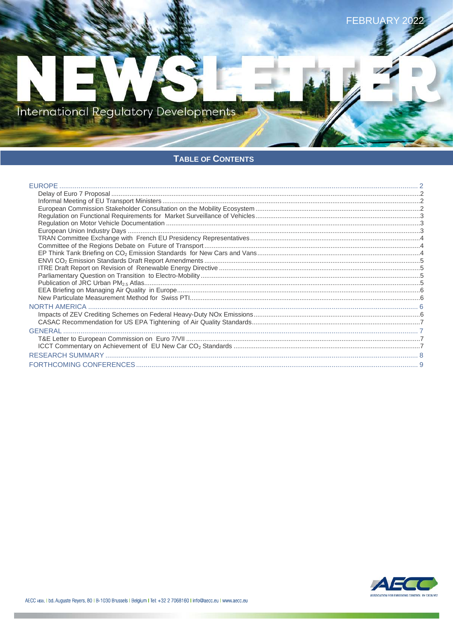International Regulatory Developments

# TABLE OF CONTENTS

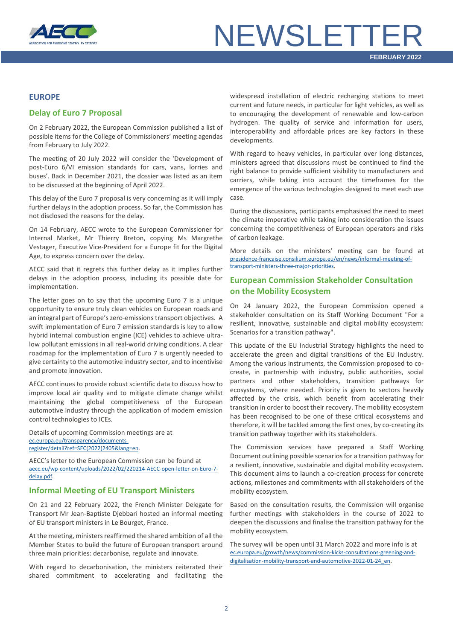

# **NEWSLETTER**

#### <span id="page-1-0"></span>**EUROPE**

### <span id="page-1-1"></span>**Delay of Euro 7 Proposal**

On 2 February 2022, the European Commission published a list of possible items for the College of Commissioners' meeting agendas from February to July 2022.

The meeting of 20 July 2022 will consider the 'Development of post-Euro 6/VI emission standards for cars, vans, lorries and buses'. Back in December 2021, the dossier was listed as an item to be discussed at the beginning of April 2022.

This delay of the Euro 7 proposal is very concerning as it will imply further delays in the adoption process. So far, the Commission has not disclosed the reasons for the delay.

On 14 February, AECC wrote to the European Commissioner for Internal Market, Mr Thierry Breton, copying Ms Margrethe Vestager, Executive Vice-President for a Europe fit for the Digital Age, to express concern over the delay.

AECC said that it regrets this further delay as it implies further delays in the adoption process, including its possible date for implementation.

The letter goes on to say that the upcoming Euro 7 is a unique opportunity to ensure truly clean vehicles on European roads and an integral part of Europe's zero-emissions transport objectives. A swift implementation of Euro 7 emission standards is key to allow hybrid internal combustion engine (ICE) vehicles to achieve ultralow pollutant emissions in all real-world driving conditions. A clear roadmap for the implementation of Euro 7 is urgently needed to give certainty to the automotive industry sector, and to incentivise and promote innovation.

AECC continues to provide robust scientific data to discuss how to improve local air quality and to mitigate climate change whilst maintaining the global competitiveness of the European automotive industry through the application of modern emission control technologies to ICEs.

Details of upcoming Commission meetings are at [ec.europa.eu/transparency/documents](https://ec.europa.eu/transparency/documents-register/detail?ref=SEC(2022)2405&lang=en)[register/detail?ref=SEC\(2022\)2405&lang=en.](https://ec.europa.eu/transparency/documents-register/detail?ref=SEC(2022)2405&lang=en)

AECC's letter to the European Commission can be found at [aecc.eu/wp-content/uploads/2022/02/220214-AECC-open-letter-on-Euro-7](https://www.aecc.eu/wp-content/uploads/2022/02/220214-AECC-open-letter-on-Euro-7-delay.pdf) [delay.pdf.](https://www.aecc.eu/wp-content/uploads/2022/02/220214-AECC-open-letter-on-Euro-7-delay.pdf)

#### <span id="page-1-2"></span>**Informal Meeting of EU Transport Ministers**

On 21 and 22 February 2022, the French Minister Delegate for Transport Mr Jean-Baptiste Djebbari hosted an informal meeting of EU transport ministers in Le Bourget, France.

At the meeting, ministers reaffirmed the shared ambition of all the Member States to build the future of European transport around three main priorities: decarbonise, regulate and innovate.

With regard to decarbonisation, the ministers reiterated their shared commitment to accelerating and facilitating the widespread installation of electric recharging stations to meet current and future needs, in particular for light vehicles, as well as to encouraging the development of renewable and low-carbon hydrogen. The quality of service and information for users, interoperability and affordable prices are key factors in these developments.

With regard to heavy vehicles, in particular over long distances, ministers agreed that discussions must be continued to find the right balance to provide sufficient visibility to manufacturers and carriers, while taking into account the timeframes for the emergence of the various technologies designed to meet each use case.

During the discussions, participants emphasised the need to meet the climate imperative while taking into consideration the issues concerning the competitiveness of European operators and risks of carbon leakage.

More details on the ministers' meeting can be found at [presidence-francaise.consilium.europa.eu/en/news/informal-meeting-of](https://presidence-francaise.consilium.europa.eu/en/news/informal-meeting-of-transport-ministers-three-major-priorities-for-the-future-of-european-transport/)[transport-ministers-three-major-priorities.](https://presidence-francaise.consilium.europa.eu/en/news/informal-meeting-of-transport-ministers-three-major-priorities-for-the-future-of-european-transport/)

## <span id="page-1-3"></span>**European Commission Stakeholder Consultation on the Mobility Ecosystem**

On 24 January 2022, the European Commission opened a stakeholder consultation on its Staff Working Document "For a resilient, innovative, sustainable and digital mobility ecosystem: Scenarios for a transition pathway".

This update of the EU Industrial Strategy highlights the need to accelerate the green and digital transitions of the EU Industry. Among the various instruments, the Commission proposed to cocreate, in partnership with industry, public authorities, social partners and other stakeholders, transition pathways for ecosystems, where needed. Priority is given to sectors heavily affected by the crisis, which benefit from accelerating their transition in order to boost their recovery. The mobility ecosystem has been recognised to be one of these critical ecosystems and therefore, it will be tackled among the first ones, by co-creating its transition pathway together with its stakeholders.

The Commission services have prepared a Staff Working Document outlining possible scenarios for a transition pathway for a resilient, innovative, sustainable and digital mobility ecosystem. This document aims to launch a co-creation process for concrete actions, milestones and commitments with all stakeholders of the mobility ecosystem.

Based on the consultation results, the Commission will organise further meetings with stakeholders in the course of 2022 to deepen the discussions and finalise the transition pathway for the mobility ecosystem.

The survey will be open until 31 March 2022 and more info is at [ec.europa.eu/growth/news/commission-kicks-consultations-greening-and](https://ec.europa.eu/growth/news/commission-kicks-consultations-greening-and-digitalisation-mobility-transport-and-automotive-2022-01-24_en)[digitalisation-mobility-transport-and-automotive-2022-01-24\\_en.](https://ec.europa.eu/growth/news/commission-kicks-consultations-greening-and-digitalisation-mobility-transport-and-automotive-2022-01-24_en)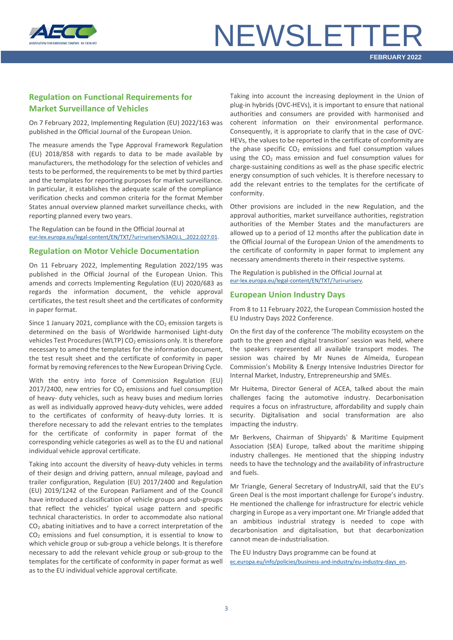

# **NEWSLETTER**

## <span id="page-2-0"></span>**Regulation on Functional Requirements for Market Surveillance of Vehicles**

On 7 February 2022, Implementing Regulation (EU) 2022/163 was published in the Official Journal of the European Union.

The measure amends the Type Approval Framework Regulation (EU) 2018/858 with regards to data to be made available by manufacturers, the methodology for the selection of vehicles and tests to be performed, the requirements to be met by third parties and the templates for reporting purposes for market surveillance. In particular, it establishes the adequate scale of the compliance verification checks and common criteria for the format Member States annual overview planned market surveillance checks, with reporting planned every two years.

The Regulation can be found in the Official Journal at [eur-lex.europa.eu/legal-content/EN/TXT/?uri=uriserv%3AOJ.L\\_.2022.027.01.](https://eur-lex.europa.eu/legal-content/EN/TXT/?uri=uriserv%3AOJ.L_.2022.027.01.0001.01.ENG&toc=OJ%3AL%3A2022%3A027%3ATOC)

#### <span id="page-2-1"></span>**Regulation on Motor Vehicle Documentation**

On 11 February 2022, Implementing Regulation 2022/195 was published in the Official Journal of the European Union. This amends and corrects Implementing Regulation (EU) 2020/683 as regards the information document, the vehicle approval certificates, the test result sheet and the certificates of conformity in paper format.

Since 1 January 2021, compliance with the  $CO<sub>2</sub>$  emission targets is determined on the basis of Worldwide harmonised Light-duty vehicles Test Procedures (WLTP) CO<sub>2</sub> emissions only. It is therefore necessary to amend the templates for the information document, the test result sheet and the certificate of conformity in paper format by removing references to the New European Driving Cycle.

With the entry into force of Commission Regulation (EU)  $2017/2400$ , new entries for  $CO<sub>2</sub>$  emissions and fuel consumption of heavy- duty vehicles, such as heavy buses and medium lorries as well as individually approved heavy-duty vehicles, were added to the certificates of conformity of heavy-duty lorries. It is therefore necessary to add the relevant entries to the templates for the certificate of conformity in paper format of the corresponding vehicle categories as well as to the EU and national individual vehicle approval certificate.

Taking into account the diversity of heavy-duty vehicles in terms of their design and driving pattern, annual mileage, payload and trailer configuration, Regulation (EU) 2017/2400 and Regulation (EU) 2019/1242 of the European Parliament and of the Council have introduced a classification of vehicle groups and sub-groups that reflect the vehicles' typical usage pattern and specific technical characteristics. In order to accommodate also national CO2 abating initiatives and to have a correct interpretation of the CO2 emissions and fuel consumption, it is essential to know to which vehicle group or sub-group a vehicle belongs. It is therefore necessary to add the relevant vehicle group or sub-group to the templates for the certificate of conformity in paper format as well as to the EU individual vehicle approval certificate.

Taking into account the increasing deployment in the Union of plug-in hybrids (OVC-HEVs), it is important to ensure that national authorities and consumers are provided with harmonised and coherent information on their environmental performance. Consequently, it is appropriate to clarify that in the case of OVC-HEVs, the values to be reported in the certificate of conformity are the phase specific  $CO<sub>2</sub>$  emissions and fuel consumption values using the  $CO<sub>2</sub>$  mass emission and fuel consumption values for charge-sustaining conditions as well as the phase specific electric energy consumption of such vehicles. It is therefore necessary to add the relevant entries to the templates for the certificate of conformity.

Other provisions are included in the new Regulation, and the approval authorities, market surveillance authorities, registration authorities of the Member States and the manufacturers are allowed up to a period of 12 months after the publication date in the Official Journal of the European Union of the amendments to the certificate of conformity in paper format to implement any necessary amendments thereto in their respective systems.

The Regulation is published in the Official Journal at [eur-lex.europa.eu/legal-content/EN/TXT/?uri=uriserv.](https://eur-lex.europa.eu/legal-content/EN/TXT/?uri=uriserv%3AOJ.L_.2022.031.01.0027.01.ENG&toc=OJ%3AL%3A2022%3A031%3ATOC)

#### <span id="page-2-2"></span>**European Union Industry Days**

From 8 to 11 February 2022, the European Commission hosted the EU Industry Days 2022 Conference.

On the first day of the conference 'The mobility ecosystem on the path to the green and digital transition' session was held, where the speakers represented all available transport modes. The session was chaired by Mr Nunes de Almeida, European Commission's Mobility & Energy Intensive Industries Director for Internal Market, Industry, Entrepreneurship and SMEs.

Mr Huitema, Director General of ACEA, talked about the main challenges facing the automotive industry. Decarbonisation requires a focus on infrastructure, affordability and supply chain security. Digitalisation and social transformation are also impacting the industry.

Mr Berkvens, Chairman of Shipyards' & Maritime Equipment Association (SEA) Europe, talked about the maritime shipping industry challenges. He mentioned that the shipping industry needs to have the technology and the availability of infrastructure and fuels.

Mr Triangle, General Secretary of IndustryAll, said that the EU's Green Deal is the most important challenge for Europe's industry. He mentioned the challenge for infrastructure for electric vehicle charging in Europe as a very important one. Mr Triangle added that an ambitious industrial strategy is needed to cope with decarbonisation and digitalisation, but that decarbonization cannot mean de-industrialisation.

The EU Industry Days programme can be found at [ec.europa.eu/info/policies/business-and-industry/eu-industry-days\\_en.](https://ec.europa.eu/info/policies/business-and-industry/eu-industry-days_en)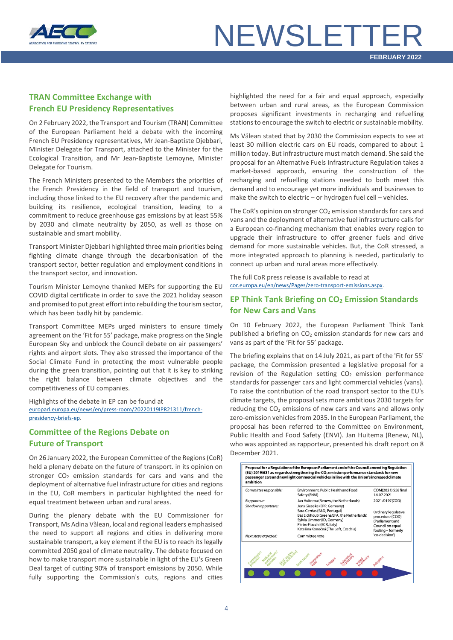

# **NEWSLETTER**

## <span id="page-3-0"></span>**TRAN Committee Exchange with French EU Presidency Representatives**

On 2 February 2022, the Transport and Tourism (TRAN) Committee of the European Parliament held a debate with the incoming French EU Presidency representatives, Mr Jean-Baptiste Djebbari, Minister Delegate for Transport, attached to the Minister for the Ecological Transition, and Mr Jean-Baptiste Lemoyne, Minister Delegate for Tourism.

The French Ministers presented to the Members the priorities of the French Presidency in the field of transport and tourism, including those linked to the EU recovery after the pandemic and building its resilience, ecological transition, leading to a commitment to reduce greenhouse gas emissions by at least 55% by 2030 and climate neutrality by 2050, as well as those on sustainable and smart mobility.

Transport Minister Djebbari highlighted three main priorities being fighting climate change through the decarbonisation of the transport sector, better regulation and employment conditions in the transport sector, and innovation.

Tourism Minister Lemoyne thanked MEPs for supporting the EU COVID digital certificate in order to save the 2021 holiday season and promised to put great effort into rebuilding the tourism sector, which has been badly hit by pandemic.

Transport Committee MEPs urged ministers to ensure timely agreement on the 'Fit for 55' package, make progress on the Single European Sky and unblock the Council debate on air passengers' rights and airport slots. They also stressed the importance of the Social Climate Fund in protecting the most vulnerable people during the green transition, pointing out that it is key to striking the right balance between climate objectives and the competitiveness of EU companies.

Highlights of the debate in EP can be found at [europarl.europa.eu/news/en/press-room/20220119IPR21311/french](https://www.europarl.europa.eu/news/en/press-room/20220119IPR21311/french-presidency-briefs-the-european-parliament-s-committees-on-its-priorities)[presidency-briefs-ep.](https://www.europarl.europa.eu/news/en/press-room/20220119IPR21311/french-presidency-briefs-the-european-parliament-s-committees-on-its-priorities)

## <span id="page-3-1"></span>**Committee of the Regions Debate on Future of Transport**

On 26 January 2022, the European Committee of the Regions (CoR) held a plenary debate on the future of transport. in its opinion on stronger  $CO<sub>2</sub>$  emission standards for cars and vans and the deployment of alternative fuel infrastructure for cities and regions in the EU, CoR members in particular highlighted the need for equal treatment between urban and rural areas.

During the plenary debate with the EU Commissioner for Transport, Ms Adina Vălean, local and regional leaders emphasised the need to support all regions and cities in delivering more sustainable transport, a key element if the EU is to reach its legally committed 2050 goal of climate neutrality. The debate focused on how to make transport more sustainable in light of the EU's Green Deal target of cutting 90% of transport emissions by 2050. While fully supporting the Commission's cuts, regions and cities

highlighted the need for a fair and equal approach, especially between urban and rural areas, as the European Commission proposes significant investments in recharging and refuelling stations to encourage the switch to electric or sustainable mobility.

Ms Vălean stated that by 2030 the Commission expects to see at least 30 million electric cars on EU roads, compared to about 1 million today. But infrastructure must match demand. She said the proposal for an Alternative Fuels Infrastructure Regulation takes a market-based approach, ensuring the construction of the recharging and refuelling stations needed to both meet this demand and to encourage yet more individuals and businesses to make the switch to electric – or hydrogen fuel cell – vehicles.

The CoR's opinion on stronger  $CO<sub>2</sub>$  emission standards for cars and vans and the deployment of alternative fuel infrastructure calls for a European co-financing mechanism that enables every region to upgrade their infrastructure to offer greener fuels and drive demand for more sustainable vehicles. But, the CoR stressed, a more integrated approach to planning is needed, particularly to connect up urban and rural areas more effectively.

The full CoR press release is available to read at [cor.europa.eu/en/news/Pages/zero-transport-emissions.aspx.](https://cor.europa.eu/en/news/Pages/zero-transport-emissions.aspx)

## <span id="page-3-2"></span>**EP Think Tank Briefing on CO2 Emission Standards for New Cars and Vans**

On 10 February 2022, the European Parliament Think Tank published a briefing on  $CO<sub>2</sub>$  emission standards for new cars and vans as part of the 'Fit for 55' package.

The briefing explains that on 14 July 2021, as part of the 'Fit for 55' package, the Commission presented a legislative proposal for a revision of the Regulation setting  $CO<sub>2</sub>$  emission performance standards for passenger cars and light commercial vehicles (vans). To raise the contribution of the road transport sector to the EU's climate targets, the proposal sets more ambitious 2030 targets for reducing the  $CO<sub>2</sub>$  emissions of new cars and vans and allows only zero-emission vehicles from 2035. In the European Parliament, the proposal has been referred to the Committee on Environment, Public Health and Food Safety (ENVI). Jan Huitema (Renew, NL), who was appointed as rapporteur, presented his draft report on 8 December 2021.

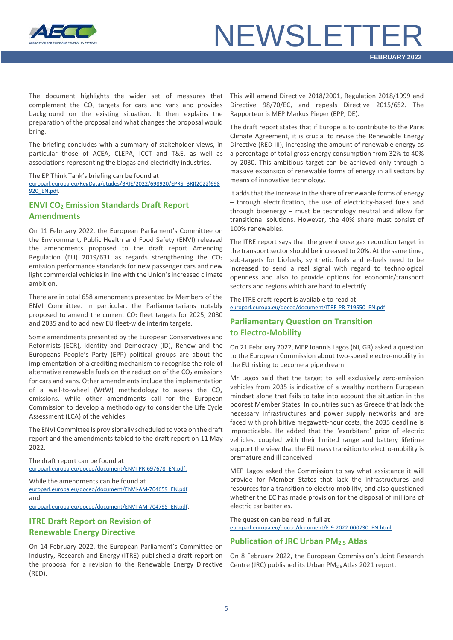

# **NEWSLETTE**

The document highlights the wider set of measures that complement the  $CO<sub>2</sub>$  targets for cars and vans and provides background on the existing situation. It then explains the preparation of the proposal and what changes the proposal would bring.

The briefing concludes with a summary of stakeholder views, in particular those of ACEA, CLEPA, ICCT and T&E, as well as associations representing the biogas and electricity industries.

#### The EP Think Tank's briefing can be found at

[europarl.europa.eu/RegData/etudes/BRIE/2022/698920/EPRS\\_BRI\(2022\)698](https://www.europarl.europa.eu/RegData/etudes/BRIE/2022/698920/EPRS_BRI(2022)698920_EN.pdf) [920\\_EN.pdf.](https://www.europarl.europa.eu/RegData/etudes/BRIE/2022/698920/EPRS_BRI(2022)698920_EN.pdf)

## <span id="page-4-0"></span>**ENVI CO2 Emission Standards Draft Report Amendments**

On 11 February 2022, the European Parliament's Committee on the Environment, Public Health and Food Safety (ENVI) released the amendments proposed to the draft report Amending Regulation (EU) 2019/631 as regards strengthening the  $CO<sub>2</sub>$ emission performance standards for new passenger cars and new light commercial vehicles in line with the Union's increased climate ambition.

There are in total 658 amendments presented by Members of the ENVI Committee. In particular, the Parliamentarians notably proposed to amend the current  $CO<sub>2</sub>$  fleet targets for 2025, 2030 and 2035 and to add new EU fleet-wide interim targets.

Some amendments presented by the European Conservatives and Reformists (ECR), Identity and Democracy (ID), Renew and the Europeans People's Party (EPP) political groups are about the implementation of a crediting mechanism to recognise the role of alternative renewable fuels on the reduction of the  $CO<sub>2</sub>$  emissions for cars and vans. Other amendments include the implementation of a well-to-wheel (WtW) methodology to assess the  $CO<sub>2</sub>$ emissions, while other amendments call for the European Commission to develop a methodology to consider the Life Cycle Assessment (LCA) of the vehicles.

The ENVI Committee is provisionally scheduled to vote on the draft report and the amendments tabled to the draft report on 11 May 2022.

The draft report can be found at [europarl.europa.eu/doceo/document/ENVI-PR-697678\\_EN.pdf,](https://www.europarl.europa.eu/doceo/document/ENVI-PR-697678_EN.pdf)

While the amendments can be found at [europarl.europa.eu/doceo/document/ENVI-AM-704659\\_EN.pdf](https://www.europarl.europa.eu/doceo/document/ENVI-AM-704659_EN.pdf) and

[europarl.europa.eu/doceo/document/ENVI-AM-704795\\_EN.pdf.](https://www.europarl.europa.eu/doceo/document/ENVI-AM-704795_EN.pdf)

## <span id="page-4-1"></span>**ITRE Draft Report on Revision of Renewable Energy Directive**

On 14 February 2022, the European Parliament's Committee on Industry, Research and Energy (ITRE) published a draft report on the proposal for a revision to the Renewable Energy Directive (RED).

This will amend Directive 2018/2001, Regulation 2018/1999 and Directive 98/70/EC, and repeals Directive 2015/652. The Rapporteur is MEP Markus Pieper (EPP, DE).

The draft report states that if Europe is to contribute to the Paris Climate Agreement, it is crucial to revise the Renewable Energy Directive (RED III), increasing the amount of renewable energy as a percentage of total gross energy consumption from 32% to 40% by 2030. This ambitious target can be achieved only through a massive expansion of renewable forms of energy in all sectors by means of innovative technology.

It adds that the increase in the share of renewable forms of energy – through electrification, the use of electricity-based fuels and through bioenergy – must be technology neutral and allow for transitional solutions. However, the 40% share must consist of 100% renewables.

The ITRE report says that the greenhouse gas reduction target in the transport sector should be increased to 20%. At the same time, sub-targets for biofuels, synthetic fuels and e-fuels need to be increased to send a real signal with regard to technological openness and also to provide options for economic/transport sectors and regions which are hard to electrify.

The ITRE draft report is available to read at [europarl.europa.eu/doceo/document/ITRE-PR-719550\\_EN.pdf.](https://www.europarl.europa.eu/doceo/document/ITRE-PR-719550_EN.pdf)

## <span id="page-4-2"></span>**Parliamentary Question on Transition to Electro-Mobility**

On 21 February 2022, MEP Ioannis Lagos (NI, GR) asked a question to the European Commission about two-speed electro-mobility in the EU risking to become a pipe dream.

Mr Lagos said that the target to sell exclusively zero-emission vehicles from 2035 is indicative of a wealthy northern European mindset alone that fails to take into account the situation in the poorest Member States. In countries such as Greece that lack the necessary infrastructures and power supply networks and are faced with prohibitive megawatt-hour costs, the 2035 deadline is impracticable. He added that the 'exorbitant' price of electric vehicles, coupled with their limited range and battery lifetime support the view that the EU mass transition to electro-mobility is premature and ill conceived.

MEP Lagos asked the Commission to say what assistance it will provide for Member States that lack the infrastructures and resources for a transition to electro-mobility, and also questioned whether the EC has made provision for the disposal of millions of electric car batteries.

The question can be read in full at [europarl.europa.eu/doceo/document/E-9-2022-000730\\_EN.html.](https://www.europarl.europa.eu/doceo/document/E-9-2022-000730_EN.html)

#### <span id="page-4-3"></span>**Publication of JRC Urban PM2.5 Atlas**

On 8 February 2022, the European Commission's Joint Research Centre (JRC) published its Urban PM2.5 Atlas 2021 report.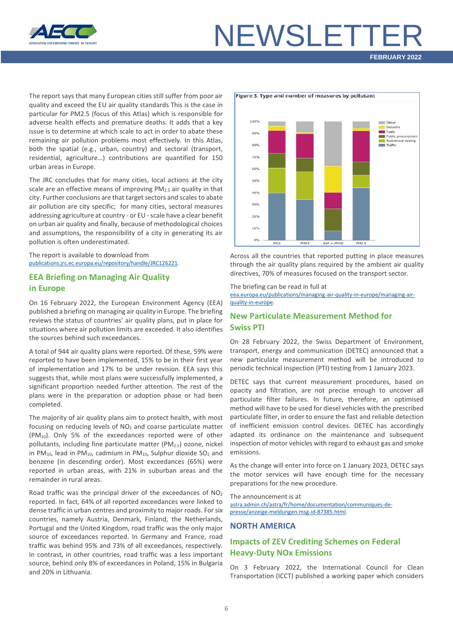

# **NEWSLETTE**

## **FEBRUARY 2022**

The report says that many European cities still suffer from poor air quality and exceed the EU air quality standards This is the case in particular for PM2.5 (focus of this Atlas) which is responsible for adverse health effects and premature deaths. It adds that a key issue is to determine at which scale to act in order to abate these remaining air pollution problems most effectively. In this Atlas, both the spatial (e.g., urban, country) and sectoral (transport, residential, agriculture…) contributions are quantified for 150 urban areas in Europe.

The JRC concludes that for many cities, local actions at the city scale are an effective means of improving  $PM<sub>2.5</sub>$  air quality in that city. Further conclusions are that target sectors and scales to abate air pollution are city specific; for many cities, sectoral measures addressing agriculture at country - or EU - scale have a clear benefit on urban air quality and finally, because of methodological choices and assumptions, the responsibility of a city in generating its air pollution is often underestimated.

The report is available to download from [publications.jrc.ec.europa.eu/repository/handle/JRC126221.](https://publications.jrc.ec.europa.eu/repository/handle/JRC126221)

## <span id="page-5-0"></span>**EEA Briefing on Managing Air Quality in Europe**

On 16 February 2022, the European Environment Agency (EEA) published a briefing on managing air quality in Europe. The briefing reviews the status of countries' air quality plans, put in place for situations where air pollution limits are exceeded. It also identifies the sources behind such exceedances.

A total of 944 air quality plans were reported. Of these, 59% were reported to have been implemented, 15% to be in their first year of implementation and 17% to be under revision. EEA says this suggests that, while most plans were successfully implemented, a significant proportion needed further attention. The rest of the plans were in the preparation or adoption phase or had been completed.

The majority of air quality plans aim to protect health, with most focusing on reducing levels of  $NO<sub>2</sub>$  and coarse particulate matter  $(PM_{10})$ . Only 5% of the exceedances reported were of other pollutants, including fine particulate matter ( $PM<sub>2.5</sub>$ ) ozone, nickel in PM<sub>10</sub>, lead in PM<sub>10</sub>, cadmium in PM<sub>10</sub>, Sulphur dioxide SO<sub>2</sub> and benzene (in descending order). Most exceedances (65%) were reported in urban areas, with 21% in suburban areas and the remainder in rural areas.

Road traffic was the principal driver of the exceedances of  $NO<sub>2</sub>$ reported. In fact, 64% of all reported exceedances were linked to dense traffic in urban centres and proximity to major roads. For six countries, namely Austria, Denmark, Finland, the Netherlands, Portugal and the United Kingdom, road traffic was the only major source of exceedances reported. In Germany and France, road traffic was behind 95% and 73% of all exceedances, respectively. In contrast, in other countries, road traffic was a less important source, behind only 8% of exceedances in Poland, 15% in Bulgaria and 20% in Lithuania.



Across all the countries that reported putting in place measures through the air quality plans required by the ambient air quality directives, 70% of measures focused on the transport sector.

#### The briefing can be read in full at

[eea.europa.eu/publications/managing-air-quality-in-europe/managing-air](https://www.eea.europa.eu/publications/managing-air-quality-in-europe/managing-air-quality-in-europe)[quality-in-europe.](https://www.eea.europa.eu/publications/managing-air-quality-in-europe/managing-air-quality-in-europe)

### <span id="page-5-1"></span>**New Particulate Measurement Method for Swiss PTI**

On 28 February 2022, the Swiss Department of Environment, transport, energy and communication (DETEC) announced that a new particulate measurement method will be introduced to periodic technical inspection (PTI) testing from 1 January 2023.

DETEC says that current measurement procedures, based on opacity and filtration, are not precise enough to uncover all particulate filter failures. In future, therefore, an optimised method will have to be used for diesel vehicles with the prescribed particulate filter, in order to ensure the fast and reliable detection of inefficient emission control devices. DETEC has accordingly adapted its ordinance on the maintenance and subsequent inspection of motor vehicles with regard to exhaust gas and smoke emissions.

As the change will enter into force on 1 January 2023, DETEC says the motor services will have enough time for the necessary preparations for the new procedure.

The announcement is at [astra.admin.ch/astra/fr/home/documentation/communiques-de](https://www.astra.admin.ch/astra/fr/home/documentation/communiques-de-presse/anzeige-meldungen.msg-id-87385.html)[presse/anzeige-meldungen.msg-id-87385.html.](https://www.astra.admin.ch/astra/fr/home/documentation/communiques-de-presse/anzeige-meldungen.msg-id-87385.html)

#### <span id="page-5-2"></span>**NORTH AMERICA**

### <span id="page-5-3"></span>**Impacts of ZEV Crediting Schemes on Federal Heavy-Duty NOx Emissions**

On 3 February 2022, the International Council for Clean Transportation (ICCT) published a working paper which considers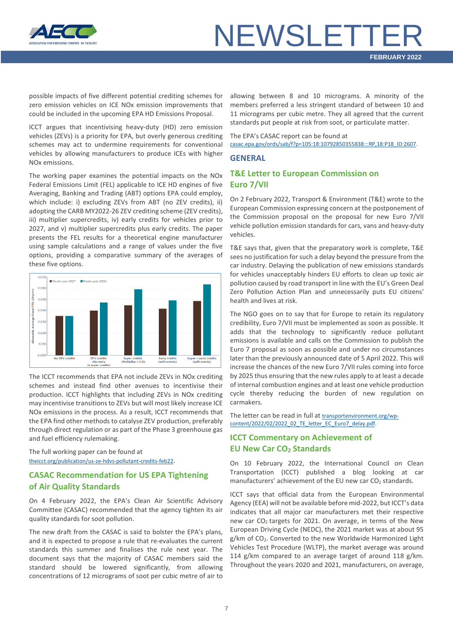

# NEWSLETT

possible impacts of five different potential crediting schemes for zero emission vehicles on ICE NOx emission improvements that could be included in the upcoming EPA HD Emissions Proposal.

ICCT argues that incentivising heavy-duty (HD) zero emission vehicles (ZEVs) is a priority for EPA, but overly generous crediting schemes may act to undermine requirements for conventional vehicles by allowing manufacturers to produce ICEs with higher NOx emissions.

The working paper examines the potential impacts on the NOx Federal Emissions Limit (FEL) applicable to ICE HD engines of five Averaging, Banking and Trading (ABT) options EPA could employ, which include: i) excluding ZEVs from ABT (no ZEV credits), ii) adopting the CARB MY2022-26 ZEV crediting scheme (ZEV credits), iii) multiplier supercredits, iv) early credits for vehicles prior to 2027, and v) multiplier supercredits plus early credits. The paper presents the FEL results for a theoretical engine manufacturer using sample calculations and a range of values under the five options, providing a comparative summary of the averages of these five options.



The ICCT recommends that EPA not include ZEVs in NOx crediting schemes and instead find other avenues to incentivise their production. ICCT highlights that including ZEVs in NOx crediting may incentivise transitions to ZEVs but will most likely increase ICE NOx emissions in the process. As a result, ICCT recommends that the EPA find other methods to catalyse ZEV production, preferably through direct regulation or as part of the Phase 3 greenhouse gas and fuel efficiency rulemaking.

The full working paper can be found at [theicct.org/publication/us-ze-hdvs-pollutant-credits-feb22.](https://theicct.org/publication/us-ze-hdvs-pollutant-credits-feb22/)

### <span id="page-6-0"></span>**CASAC Recommendation for US EPA Tightening of Air Quality Standards**

On 4 February 2022, the EPA's Clean Air Scientific Advisory Committee (CASAC) recommended that the agency tighten its air quality standards for soot pollution.

The new draft from the CASAC is said to bolster the EPA's plans, and it is expected to propose a rule that re-evaluates the current standards this summer and finalises the rule next year. The document says that the majority of CASAC members said the standard should be lowered significantly, from allowing concentrations of 12 micrograms of soot per cubic metre of air to

allowing between 8 and 10 micrograms. A minority of the members preferred a less stringent standard of between 10 and 11 micrograms per cubic metre. They all agreed that the current standards put people at risk from soot, or particulate matter.

The EPA's CASAC report can be found at [casac.epa.gov/ords/sab/f?p=105:18:10792850355838:::RP,18:P18\\_ID:2607.](https://casac.epa.gov/ords/sab/f?p=105:18:10792850355838:::RP,18:P18_ID:2607)

### <span id="page-6-1"></span>**GENERAL**

### <span id="page-6-2"></span>**T&E Letter to European Commission on Euro 7/VII**

On 2 February 2022, Transport & Environment (T&E) wrote to the European Commission expressing concern at the postponement of the Commission proposal on the proposal for new Euro 7/VII vehicle pollution emission standards for cars, vans and heavy-duty vehicles.

T&E says that, given that the preparatory work is complete, T&E sees no justification for such a delay beyond the pressure from the car industry. Delaying the publication of new emissions standards for vehicles unacceptably hinders EU efforts to clean up toxic air pollution caused by road transport in line with the EU's Green Deal Zero Pollution Action Plan and unnecessarily puts EU citizens' health and lives at risk.

The NGO goes on to say that for Europe to retain its regulatory credibility, Euro 7/VII must be implemented as soon as possible. It adds that the technology to significantly reduce pollutant emissions is available and calls on the Commission to publish the Euro 7 proposal as soon as possible and under no circumstances later than the previously announced date of 5 April 2022. This will increase the chances of the new Euro 7/VII rules coming into force by 2025 thus ensuring that the new rules apply to at least a decade of internal combustion engines and at least one vehicle production cycle thereby reducing the burden of new regulation on carmakers.

The letter can be read in full at [transportenvironment.org/wp](https://www.transportenvironment.org/wp-content/uploads/2022/02/2022_02_TE_letter_EC_Euro7_delay.pdf)[content/2022/02/2022\\_02\\_TE\\_letter\\_EC\\_Euro7\\_delay.pdf.](https://www.transportenvironment.org/wp-content/uploads/2022/02/2022_02_TE_letter_EC_Euro7_delay.pdf)

## <span id="page-6-3"></span>**ICCT Commentary on Achievement of EU New Car CO2 Standards**

On 10 February 2022, the International Council on Clean Transportation (ICCT) published a blog looking at car manufacturers' achievement of the EU new car  $CO<sub>2</sub>$  standards.

ICCT says that official data from the European Environmental Agency (EEA) will not be available before mid-2022, but ICCT's data indicates that all major car manufacturers met their respective new car  $CO<sub>2</sub>$  targets for 2021. On average, in terms of the New European Driving Cycle (NEDC), the 2021 market was at about 95 g/km of CO<sub>2</sub>. Converted to the new Worldwide Harmonized Light Vehicles Test Procedure (WLTP), the market average was around 114 g/km compared to an average target of around 118 g/km. Throughout the years 2020 and 2021, manufacturers, on average,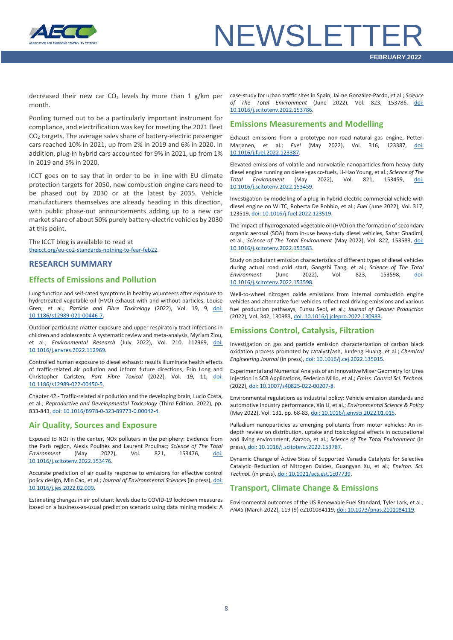

# **NEWSLETTF**

decreased their new car  $CO<sub>2</sub>$  levels by more than 1 g/km per month.

Pooling turned out to be a particularly important instrument for compliance, and electrification was key for meeting the 2021 fleet CO2 targets. The average sales share of battery-electric passenger cars reached 10% in 2021, up from 2% in 2019 and 6% in 2020. In addition, plug-in hybrid cars accounted for 9% in 2021, up from 1% in 2019 and 5% in 2020.

ICCT goes on to say that in order to be in line with EU climate protection targets for 2050, new combustion engine cars need to be phased out by 2030 or at the latest by 2035. Vehicle manufacturers themselves are already heading in this direction, with public phase-out announcements adding up to a new car market share of about 50% purely battery-electric vehicles by 2030 at this point.

The ICCT blog is available to read at [theicct.org/eu-co2-standards-nothing-to-fear-feb22.](https://theicct.org/eu-co2-standards-nothing-to-fear-feb22/)

#### <span id="page-7-0"></span>**RESEARCH SUMMARY**

#### **Effects of Emissions and Pollution**

Lung function and self-rated symptoms in healthy volunteers after exposure to hydrotreated vegetable oil (HVO) exhaust with and without particles, Louise Gren, et al.; *Particle and Fibre Toxicology* (2022), Vol. 19, 9, [doi:](https://doi.org/10.1186/s12989-021-00446-7)  [10.1186/s12989-021-00446-7.](https://doi.org/10.1186/s12989-021-00446-7)

Outdoor particulate matter exposure and upper respiratory tract infections in children and adolescents: A systematic review and meta-analysis, Myriam Ziou, et al.; *Environmental Research* (July 2022), Vol. 210, 112969, [doi:](https://doi.org/10.1016/j.envres.2022.112969)  [10.1016/j.envres.2022.112969.](https://doi.org/10.1016/j.envres.2022.112969)

Controlled human exposure to diesel exhaust: results illuminate health effects of traffic-related air pollution and inform future directions, Erin Long and Christopher Carlsten; *Part Fibre Toxicol* (2022), Vol. 19, 11, [doi:](https://doi.org/10.1186/s12989-022-00450-5)  [10.1186/s12989-022-00450-5.](https://doi.org/10.1186/s12989-022-00450-5)

Chapter 42 - Traffic-related air pollution and the developing brain, Lucio Costa, et al.; *Reproductive and Developmental Toxicology* (Third Edition, 2022), pp. 833-843[, doi: 10.1016/B978-0-323-89773-0.00042-4.](https://doi.org/10.1016/B978-0-323-89773-0.00042-4)

#### **Air Quality, Sources and Exposure**

Exposed to NO2 in the center, NOx polluters in the periphery: Evidence from the Paris region, Alexis Poulhès and Laurent Proulhac; *Science of The Total Environment* (May 2022), Vol. 821, 153476, [doi:](https://doi.org/10.1016/j.scitotenv.2022.153476)  [10.1016/j.scitotenv.2022.153476.](https://doi.org/10.1016/j.scitotenv.2022.153476)

Accurate prediction of air quality response to emissions for effective control policy design, Min Cao, et al.; *Journal of Environmental Sciences* (in press)[, doi:](https://doi.org/10.1016/j.jes.2022.02.009)  [10.1016/j.jes.2022.02.009.](https://doi.org/10.1016/j.jes.2022.02.009)

Estimating changes in air pollutant levels due to COVID-19 lockdown measures based on a business-as-usual prediction scenario using data mining models: A

case-study for urban traffic sites in Spain, Jaime González-Pardo, et al.; *Science of The Total Environment* (June 2022), Vol. 823, 153786, [doi:](https://doi.org/10.1016/j.scitotenv.2022.153786)  [10.1016/j.scitotenv.2022.153786.](https://doi.org/10.1016/j.scitotenv.2022.153786)

#### **Emissions Measurements and Modelling**

Exhaust emissions from a prototype non-road natural gas engine, Petteri Marjanen, et al.; *Fuel* (May 2022), Vol. 316, 123387, [doi:](https://doi.org/10.1016/j.fuel.2022.123387)  [10.1016/j.fuel.2022.123387.](https://doi.org/10.1016/j.fuel.2022.123387)

Elevated emissions of volatile and nonvolatile nanoparticles from heavy-duty diesel engine running on diesel-gas co-fuels, Li-Hao Young, et al.; *Science of The Total Environment* (May 2022), Vol. 821, 153459, [doi:](https://doi.org/10.1016/j.scitotenv.2022.153459)  [10.1016/j.scitotenv.2022.153459.](https://doi.org/10.1016/j.scitotenv.2022.153459)

Investigation by modelling of a plug-in hybrid electric commercial vehicle with diesel engine on WLTC, Roberta De Robbio, et al.; *Fuel* (June 2022), Vol. 317, 123519[, doi: 10.1016/j.fuel.2022.123519.](https://doi.org/10.1016/j.fuel.2022.123519)

The impact of hydrogenated vegetable oil (HVO) on the formation of secondary organic aerosol (SOA) from in-use heavy-duty diesel vehicles, Sahar Ghadimi, et al.; *Science of The Total Environment* (May 2022), Vol. 822, 153583, [doi:](https://doi.org/10.1016/j.scitotenv.2022.153583)  [10.1016/j.scitotenv.2022.153583.](https://doi.org/10.1016/j.scitotenv.2022.153583)

Study on pollutant emission characteristics of different types of diesel vehicles during actual road cold start, Gangzhi Tang, et al.; *Science of The Total Environment* (June 2022), Vol. 823, 153598, [doi:](https://doi.org/10.1016/j.scitotenv.2022.153598)  [10.1016/j.scitotenv.2022.153598.](https://doi.org/10.1016/j.scitotenv.2022.153598)

Well-to-wheel nitrogen oxide emissions from internal combustion engine vehicles and alternative fuel vehicles reflect real driving emissions and various fuel production pathways, Eunsu Seol, et al.; *Journal of Cleaner Production* (2022), Vol. 342, 130983[, doi: 10.1016/j.jclepro.2022.130983.](https://doi.org/10.1016/j.jclepro.2022.130983)

#### **Emissions Control, Catalysis, Filtration**

Investigation on gas and particle emission characterization of carbon black oxidation process promoted by catalyst/ash, Junfeng Huang, et al.; *Chemical Engineering Journal* (in press)[, doi: 10.1016/j.cej.2022.135015.](https://doi.org/10.1016/j.cej.2022.135015)

Experimental and Numerical Analysis of an Innovative Mixer Geometry for Urea Injection in SCR Applications, Federico Millo, et al.; *Emiss. Control Sci. Technol.* (2022)[, doi: 10.1007/s40825-022-00207-8.](https://doi.org/10.1007/s40825-022-00207-8)

Environmental regulations as industrial policy: Vehicle emission standards and automotive industry performance, Xin Li, et al.; *Environmental Science & Policy* (May 2022), Vol. 131, pp. 68-83[, doi: 10.1016/j.envsci.2022.01.015.](https://doi.org/10.1016/j.envsci.2022.01.015)

Palladium nanoparticles as emerging pollutants from motor vehicles: An indepth review on distribution, uptake and toxicological effects in occupational and living environment, Aarzoo, et al.; *Science of The Total Environment* (in press)[, doi: 10.1016/j.scitotenv.2022.153787.](https://doi.org/10.1016/j.scitotenv.2022.153787)

Dynamic Change of Active Sites of Supported Vanadia Catalysts for Selective Catalytic Reduction of Nitrogen Oxides, Guangyan Xu, et al.; *Environ. Sci. Technol.* (in press)[, doi: 10.1021/acs.est.1c07739.](https://doi.org/10.1021/acs.est.1c07739)

#### **Transport, Climate Change & Emissions**

Environmental outcomes of the US Renewable Fuel Standard, Tyler Lark, et al.; *PNAS* (March 2022), 119 (9) e2101084119[, doi: 10.1073/pnas.2101084119.](https://doi.org/10.1073/pnas.2101084119)